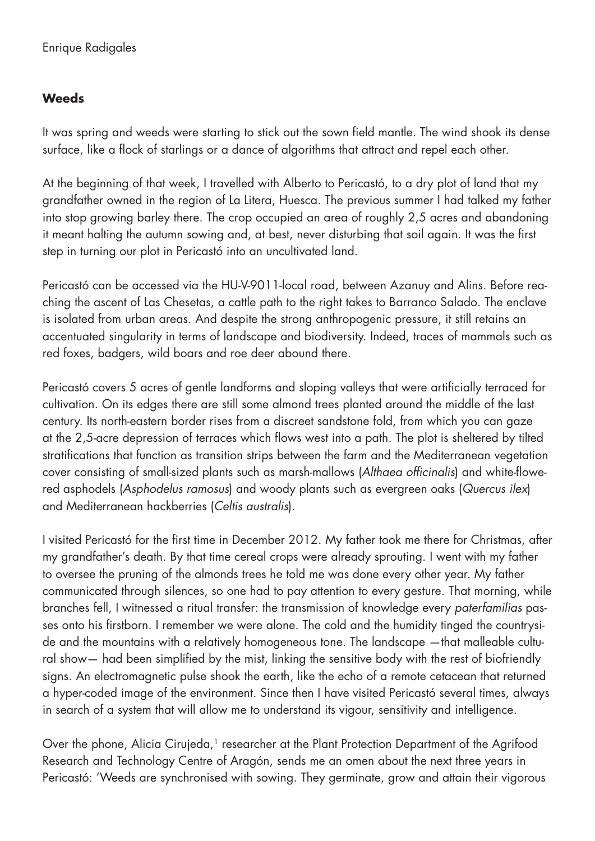## **Weeds**

It was spring and weeds were starting to stick out the sown field mantle. The wind shook its dense surface, like a flock of starlings or a dance of algorithms that attract and repel each other.

At the beginning of that week, I travelled with Alberto to Pericastó, to a dry plot of land that my grandfather owned in the region of La Litera, Huesca. The previous summer I had talked my father into stop growing barley there. The crop occupied an area of roughly 2,5 acres and abandoning it meant halting the autumn sowing and, at best, never disturbing that soil again. It was the first step in turning our plot in Pericastó into an uncultivated land.

Pericastó can be accessed via the HU-V-9011-local road, between Azanuy and Alins. Before reaching the ascent of Las Chesetas, a cattle path to the right takes to Barranco Salado. The enclave is isolated from urban areas. And despite the strong anthropogenic pressure, it still retains an accentuated singularity in terms of landscape and biodiversity. Indeed, traces of mammals such as red foxes, badgers, wild boars and roe deer abound there.

Pericastó covers 5 acres of gentle landforms and sloping valleys that were artificially terraced for cultivation. On its edges there are still some almond trees planted around the middle of the last century. Its north-eastern border rises from a discreet sandstone fold, from which you can gaze at the 2,5-acre depression of terraces which flows west into a path. The plot is sheltered by tilted stratifications that function as transition strips between the farm and the Mediterranean vegetation cover consisting of small-sized plants such as marsh-mallows (*Althaea officinalis*) and white-flowered asphodels (*Asphodelus ramosus*) and woody plants such as evergreen oaks (*Quercus ilex*) and Mediterranean hackberries (*Celtis australis*).

I visited Pericastó for the first time in December 2012. My father took me there for Christmas, after my grandfather's death. By that time cereal crops were already sprouting. I went with my father to oversee the pruning of the almonds trees he told me was done every other year. My father communicated through silences, so one had to pay attention to every gesture. That morning, while branches fell, I witnessed a ritual transfer: the transmission of knowledge every *paterfamilias* passes onto his firstborn. I remember we were alone. The cold and the humidity tinged the countryside and the mountains with a relatively homogeneous tone. The landscape —that malleable cultural show— had been simplified by the mist, linking the sensitive body with the rest of biofriendly signs. An electromagnetic pulse shook the earth, like the echo of a remote cetacean that returned a hyper-coded image of the environment. Since then I have visited Pericastó several times, always in search of a system that will allow me to understand its vigour, sensitivity and intelligence.

Over the phone, Alicia Cirujeda,<sup>1</sup> researcher at the Plant Protection Department of the Agrifood Research and Technology Centre of Aragón, sends me an omen about the next three years in Pericastó: 'Weeds are synchronised with sowing. They germinate, grow and attain their vigorous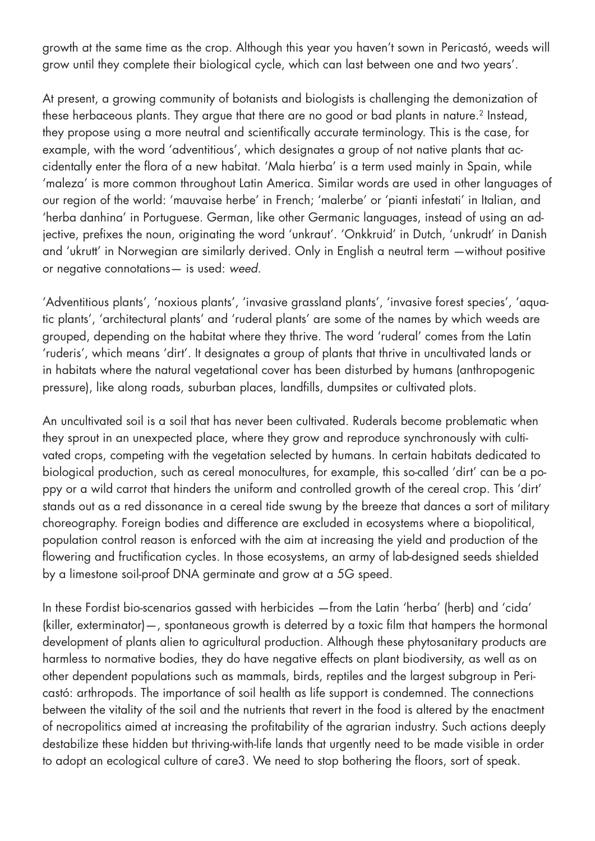growth at the same time as the crop. Although this year you haven't sown in Pericastó, weeds will grow until they complete their biological cycle, which can last between one and two years'.

At present, a growing community of botanists and biologists is challenging the demonization of these herbaceous plants. They argue that there are no good or bad plants in nature.<sup>2</sup> Instead, they propose using a more neutral and scientifically accurate terminology. This is the case, for example, with the word 'adventitious', which designates a group of not native plants that accidentally enter the flora of a new habitat. 'Mala hierba' is a term used mainly in Spain, while 'maleza' is more common throughout Latin America. Similar words are used in other languages of our region of the world: 'mauvaise herbe' in French; 'malerbe' or 'pianti infestati' in Italian, and 'herba danhina' in Portuguese. German, like other Germanic languages, instead of using an adjective, prefixes the noun, originating the word 'unkraut'. 'Onkkruid' in Dutch, 'unkrudt' in Danish and 'ukrutt' in Norwegian are similarly derived. Only in English a neutral term —without positive or negative connotations— is used: *weed*.

'Adventitious plants', 'noxious plants', 'invasive grassland plants', 'invasive forest species', 'aquatic plants', 'architectural plants' and 'ruderal plants' are some of the names by which weeds are grouped, depending on the habitat where they thrive. The word 'ruderal' comes from the Latin 'ruderis', which means 'dirt'. It designates a group of plants that thrive in uncultivated lands or in habitats where the natural vegetational cover has been disturbed by humans (anthropogenic pressure), like along roads, suburban places, landfills, dumpsites or cultivated plots.

An uncultivated soil is a soil that has never been cultivated. Ruderals become problematic when they sprout in an unexpected place, where they grow and reproduce synchronously with cultivated crops, competing with the vegetation selected by humans. In certain habitats dedicated to biological production, such as cereal monocultures, for example, this so-called 'dirt' can be a poppy or a wild carrot that hinders the uniform and controlled growth of the cereal crop. This 'dirt' stands out as a red dissonance in a cereal tide swung by the breeze that dances a sort of military choreography. Foreign bodies and difference are excluded in ecosystems where a biopolitical, population control reason is enforced with the aim at increasing the yield and production of the flowering and fructification cycles. In those ecosystems, an army of lab-designed seeds shielded by a limestone soil-proof DNA germinate and grow at a 5G speed.

In these Fordist bio-scenarios gassed with herbicides —from the Latin 'herba' (herb) and 'cida' (killer, exterminator)—, spontaneous growth is deterred by a toxic film that hampers the hormonal development of plants alien to agricultural production. Although these phytosanitary products are harmless to normative bodies, they do have negative effects on plant biodiversity, as well as on other dependent populations such as mammals, birds, reptiles and the largest subgroup in Pericastó: arthropods. The importance of soil health as life support is condemned. The connections between the vitality of the soil and the nutrients that revert in the food is altered by the enactment of necropolitics aimed at increasing the profitability of the agrarian industry. Such actions deeply destabilize these hidden but thriving-with-life lands that urgently need to be made visible in order to adopt an ecological culture of care3. We need to stop bothering the floors, sort of speak.